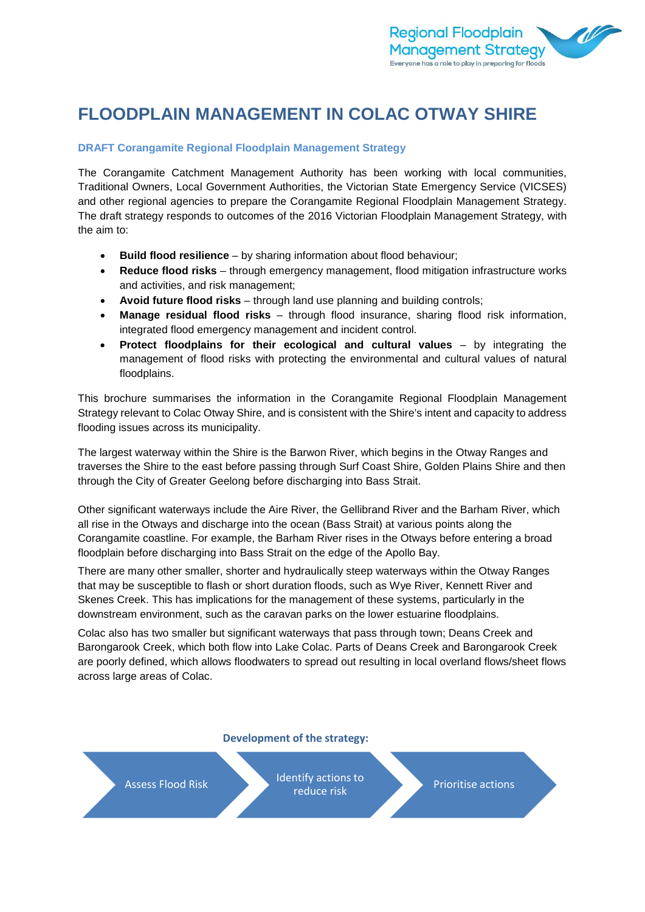

# **FLOODPLAIN MANAGEMENT IN COLAC OTWAY SHIRE**

### **DRAFT Corangamite Regional Floodplain Management Strategy**

The Corangamite Catchment Management Authority has been working with local communities, Traditional Owners, Local Government Authorities, the Victorian State Emergency Service (VICSES) and other regional agencies to prepare the Corangamite Regional Floodplain Management Strategy. The draft strategy responds to outcomes of the 2016 Victorian Floodplain Management Strategy, with the aim to:

- **Build flood resilience** by sharing information about flood behaviour;
- **Reduce flood risks** through emergency management, flood mitigation infrastructure works and activities, and risk management;
- **Avoid future flood risks** through land use planning and building controls;
- **Manage residual flood risks**  through flood insurance, sharing flood risk information, integrated flood emergency management and incident control.
- **Protect floodplains for their ecological and cultural values**  by integrating the management of flood risks with protecting the environmental and cultural values of natural floodplains.

This brochure summarises the information in the Corangamite Regional Floodplain Management Strategy relevant to Colac Otway Shire, and is consistent with the Shire's intent and capacity to address flooding issues across its municipality.

The largest waterway within the Shire is the Barwon River, which begins in the Otway Ranges and traverses the Shire to the east before passing through Surf Coast Shire, Golden Plains Shire and then through the City of Greater Geelong before discharging into Bass Strait.

Other significant waterways include the Aire River, the Gellibrand River and the Barham River, which all rise in the Otways and discharge into the ocean (Bass Strait) at various points along the Corangamite coastline. For example, the Barham River rises in the Otways before entering a broad floodplain before discharging into Bass Strait on the edge of the Apollo Bay.

There are many other smaller, shorter and hydraulically steep waterways within the Otway Ranges that may be susceptible to flash or short duration floods, such as Wye River, Kennett River and Skenes Creek. This has implications for the management of these systems, particularly in the downstream environment, such as the caravan parks on the lower estuarine floodplains.

Colac also has two smaller but significant waterways that pass through town; Deans Creek and Barongarook Creek, which both flow into Lake Colac. Parts of Deans Creek and Barongarook Creek are poorly defined, which allows floodwaters to spread out resulting in local overland flows/sheet flows across large areas of Colac.

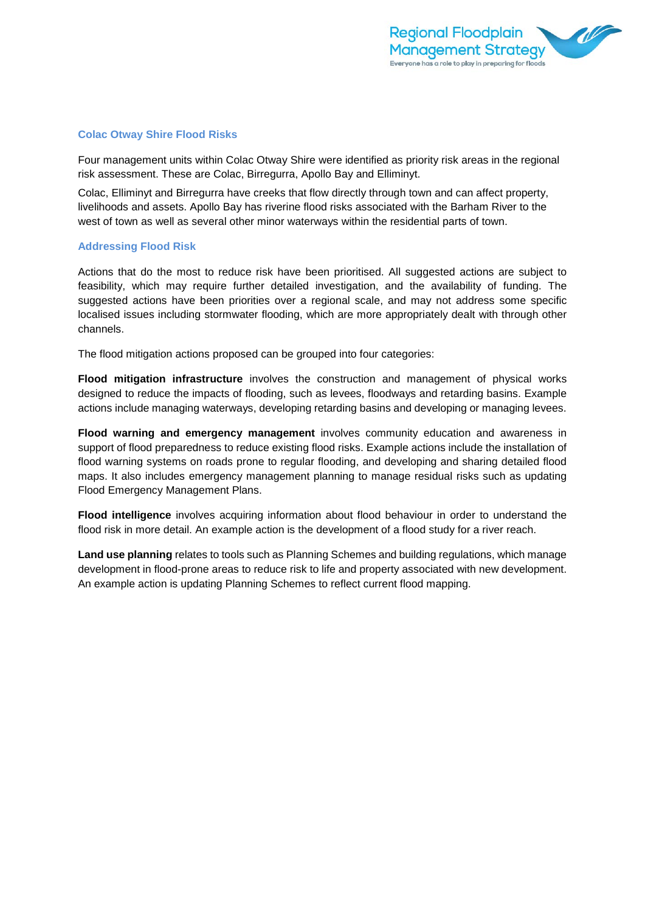#### **Colac Otway Shire Flood Risks**

Four management units within Colac Otway Shire were identified as priority risk areas in the regional risk assessment. These are Colac, Birregurra, Apollo Bay and Elliminyt.

Colac, Elliminyt and Birregurra have creeks that flow directly through town and can affect property, livelihoods and assets. Apollo Bay has riverine flood risks associated with the Barham River to the west of town as well as several other minor waterways within the residential parts of town.

#### **Addressing Flood Risk**

Actions that do the most to reduce risk have been prioritised. All suggested actions are subject to feasibility, which may require further detailed investigation, and the availability of funding. The suggested actions have been priorities over a regional scale, and may not address some specific localised issues including stormwater flooding, which are more appropriately dealt with through other channels.

The flood mitigation actions proposed can be grouped into four categories:

**Flood mitigation infrastructure** involves the construction and management of physical works designed to reduce the impacts of flooding, such as levees, floodways and retarding basins. Example actions include managing waterways, developing retarding basins and developing or managing levees.

**Flood warning and emergency management** involves community education and awareness in support of flood preparedness to reduce existing flood risks. Example actions include the installation of flood warning systems on roads prone to regular flooding, and developing and sharing detailed flood maps. It also includes emergency management planning to manage residual risks such as updating Flood Emergency Management Plans.

**Flood intelligence** involves acquiring information about flood behaviour in order to understand the flood risk in more detail. An example action is the development of a flood study for a river reach.

**Land use planning** relates to tools such as Planning Schemes and building regulations, which manage development in flood-prone areas to reduce risk to life and property associated with new development. An example action is updating Planning Schemes to reflect current flood mapping.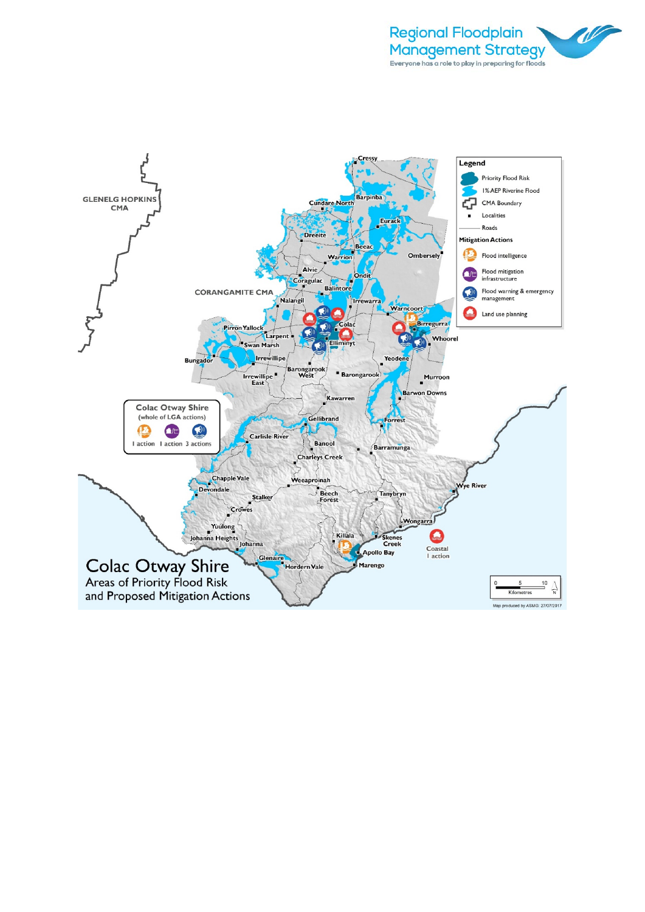

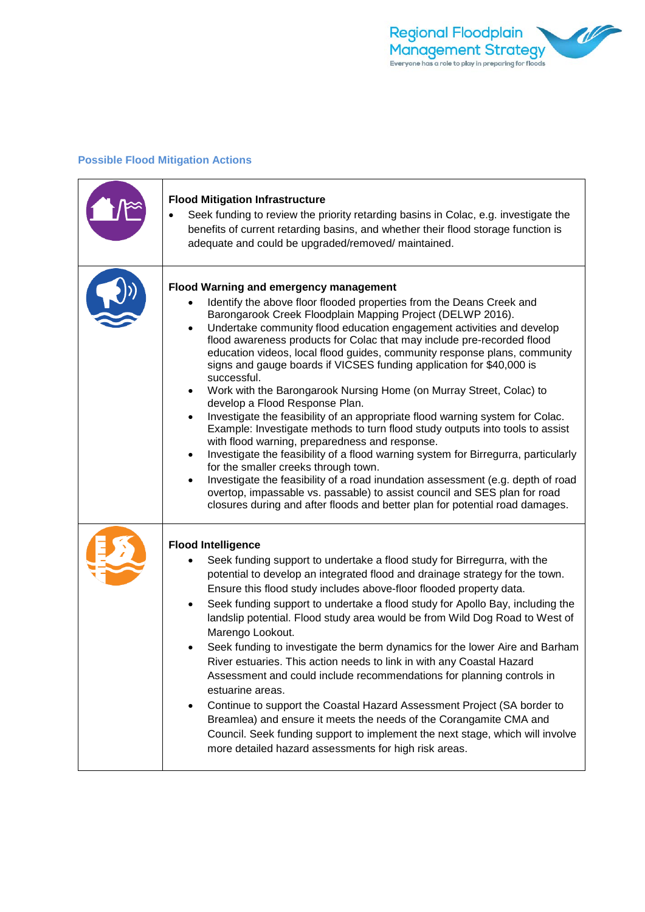# **Possible Flood Mitigation Actions**

| <b>Flood Mitigation Infrastructure</b><br>Seek funding to review the priority retarding basins in Colac, e.g. investigate the<br>benefits of current retarding basins, and whether their flood storage function is<br>adequate and could be upgraded/removed/ maintained.                                                                                                                                                                                                                                                                                                                                                                                                                                                                                                                                                                                                                                                                                                                                                                                                                                                                                                                                                                                          |
|--------------------------------------------------------------------------------------------------------------------------------------------------------------------------------------------------------------------------------------------------------------------------------------------------------------------------------------------------------------------------------------------------------------------------------------------------------------------------------------------------------------------------------------------------------------------------------------------------------------------------------------------------------------------------------------------------------------------------------------------------------------------------------------------------------------------------------------------------------------------------------------------------------------------------------------------------------------------------------------------------------------------------------------------------------------------------------------------------------------------------------------------------------------------------------------------------------------------------------------------------------------------|
| Flood Warning and emergency management<br>Identify the above floor flooded properties from the Deans Creek and<br>Barongarook Creek Floodplain Mapping Project (DELWP 2016).<br>Undertake community flood education engagement activities and develop<br>$\bullet$<br>flood awareness products for Colac that may include pre-recorded flood<br>education videos, local flood guides, community response plans, community<br>signs and gauge boards if VICSES funding application for \$40,000 is<br>successful.<br>Work with the Barongarook Nursing Home (on Murray Street, Colac) to<br>develop a Flood Response Plan.<br>Investigate the feasibility of an appropriate flood warning system for Colac.<br>$\bullet$<br>Example: Investigate methods to turn flood study outputs into tools to assist<br>with flood warning, preparedness and response.<br>Investigate the feasibility of a flood warning system for Birregurra, particularly<br>$\bullet$<br>for the smaller creeks through town.<br>Investigate the feasibility of a road inundation assessment (e.g. depth of road<br>$\bullet$<br>overtop, impassable vs. passable) to assist council and SES plan for road<br>closures during and after floods and better plan for potential road damages. |
| <b>Flood Intelligence</b><br>Seek funding support to undertake a flood study for Birregurra, with the<br>potential to develop an integrated flood and drainage strategy for the town.<br>Ensure this flood study includes above-floor flooded property data.<br>Seek funding support to undertake a flood study for Apollo Bay, including the<br>$\bullet$<br>landslip potential. Flood study area would be from Wild Dog Road to West of<br>Marengo Lookout.<br>Seek funding to investigate the berm dynamics for the lower Aire and Barham<br>River estuaries. This action needs to link in with any Coastal Hazard<br>Assessment and could include recommendations for planning controls in<br>estuarine areas.<br>Continue to support the Coastal Hazard Assessment Project (SA border to<br>٠<br>Breamlea) and ensure it meets the needs of the Corangamite CMA and<br>Council. Seek funding support to implement the next stage, which will involve<br>more detailed hazard assessments for high risk areas.                                                                                                                                                                                                                                                 |